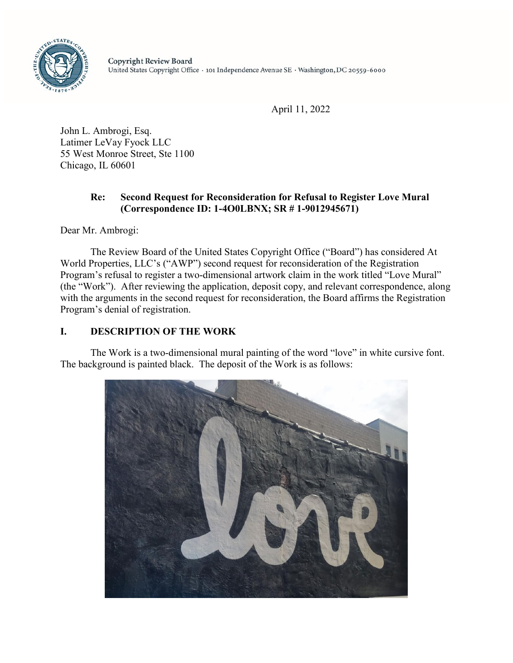

April 11, 2022

John L. Ambrogi, Esq. Latimer LeVay Fyock LLC 55 West Monroe Street, Ste 1100 Chicago, IL 60601

## **Re: Second Request for Reconsideration for Refusal to Register Love Mural (Correspondence ID: 1-4O0LBNX; SR # 1-9012945671)**

Dear Mr. Ambrogi:

The Review Board of the United States Copyright Office ("Board") has considered At World Properties, LLC's ("AWP") second request for reconsideration of the Registration Program's refusal to register a two-dimensional artwork claim in the work titled "Love Mural" (the "Work"). After reviewing the application, deposit copy, and relevant correspondence, along with the arguments in the second request for reconsideration, the Board affirms the Registration Program's denial of registration.

# **I. DESCRIPTION OF THE WORK**

The Work is a two-dimensional mural painting of the word "love" in white cursive font. The background is painted black. The deposit of the Work is as follows:

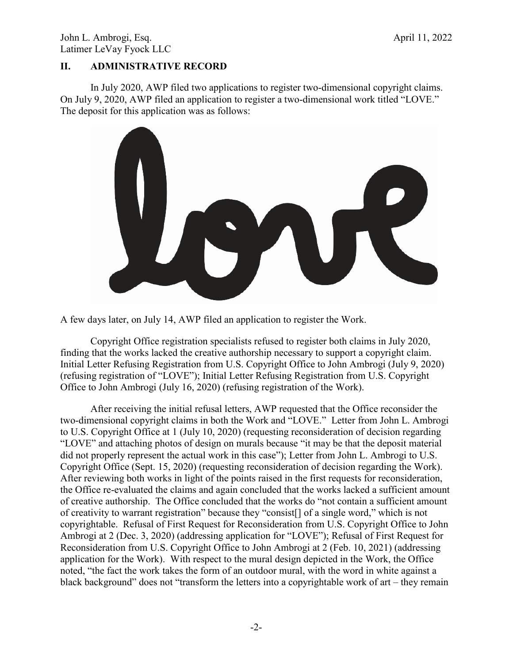## **II. ADMINISTRATIVE RECORD**

In July 2020, AWP filed two applications to register two-dimensional copyright claims. On July 9, 2020, AWP filed an application to register a two-dimensional work titled "LOVE." The deposit for this application was as follows:



A few days later, on July 14, AWP filed an application to register the Work.

Copyright Office registration specialists refused to register both claims in July 2020, finding that the works lacked the creative authorship necessary to support a copyright claim. Initial Letter Refusing Registration from U.S. Copyright Office to John Ambrogi (July 9, 2020) (refusing registration of "LOVE"); Initial Letter Refusing Registration from U.S. Copyright Office to John Ambrogi (July 16, 2020) (refusing registration of the Work).

After receiving the initial refusal letters, AWP requested that the Office reconsider the two-dimensional copyright claims in both the Work and "LOVE." Letter from John L. Ambrogi to U.S. Copyright Office at 1 (July 10, 2020) (requesting reconsideration of decision regarding "LOVE" and attaching photos of design on murals because "it may be that the deposit material did not properly represent the actual work in this case"); Letter from John L. Ambrogi to U.S. Copyright Office (Sept. 15, 2020) (requesting reconsideration of decision regarding the Work). After reviewing both works in light of the points raised in the first requests for reconsideration, the Office re-evaluated the claims and again concluded that the works lacked a sufficient amount of creative authorship. The Office concluded that the works do "not contain a sufficient amount of creativity to warrant registration" because they "consist[] of a single word," which is not copyrightable. Refusal of First Request for Reconsideration from U.S. Copyright Office to John Ambrogi at 2 (Dec. 3, 2020) (addressing application for "LOVE"); Refusal of First Request for Reconsideration from U.S. Copyright Office to John Ambrogi at 2 (Feb. 10, 2021) (addressing application for the Work). With respect to the mural design depicted in the Work, the Office noted, "the fact the work takes the form of an outdoor mural, with the word in white against a black background" does not "transform the letters into a copyrightable work of art – they remain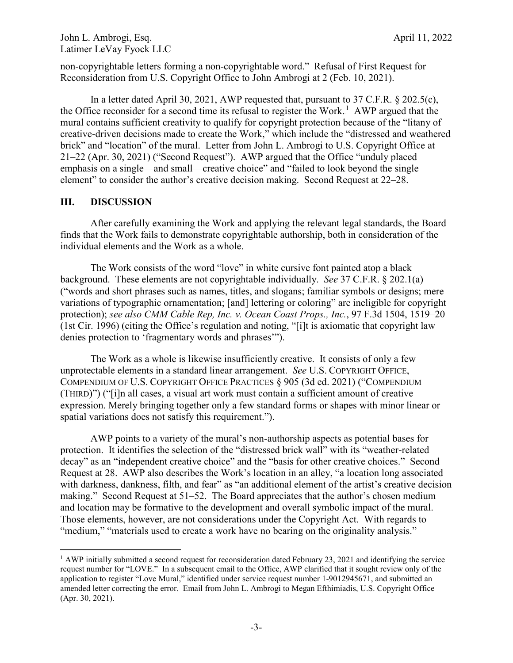John L. Ambrogi, Esq.  $\blacksquare$ Latimer LeVay Fyock LLC

non-copyrightable letters forming a non-copyrightable word." Refusal of First Request for Reconsideration from U.S. Copyright Office to John Ambrogi at 2 (Feb. 10, 2021).

In a letter dated April 30, 2021, AWP requested that, pursuant to 37 C.F.R.  $\S 202.5(c)$ , the Office reconsider for a second time its refusal to register the Work.<sup>1</sup> AWP argued that the mural contains sufficient creativity to qualify for copyright protection because of the "litany of creative-driven decisions made to create the Work," which include the "distressed and weathered brick" and "location" of the mural. Letter from John L. Ambrogi to U.S. Copyright Office at 21–22 (Apr. 30, 2021) ("Second Request"). AWP argued that the Office "unduly placed emphasis on a single—and small—creative choice" and "failed to look beyond the single element" to consider the author's creative decision making. Second Request at 22–28.

## **III. DISCUSSION**

After carefully examining the Work and applying the relevant legal standards, the Board finds that the Work fails to demonstrate copyrightable authorship, both in consideration of the individual elements and the Work as a whole.

The Work consists of the word "love" in white cursive font painted atop a black background. These elements are not copyrightable individually. *See* 37 C.F.R. § 202.1(a) ("words and short phrases such as names, titles, and slogans; familiar symbols or designs; mere variations of typographic ornamentation; [and] lettering or coloring" are ineligible for copyright protection); *see also CMM Cable Rep, Inc. v. Ocean Coast Props., Inc.*, 97 F.3d 1504, 1519–20 (1st Cir. 1996) (citing the Office's regulation and noting, "[i]t is axiomatic that copyright law denies protection to 'fragmentary words and phrases'").

The Work as a whole is likewise insufficiently creative. It consists of only a few unprotectable elements in a standard linear arrangement. *See* U.S. COPYRIGHT OFFICE, COMPENDIUM OF U.S. COPYRIGHT OFFICE PRACTICES § 905 (3d ed. 2021) ("COMPENDIUM (THIRD)") ("[i]n all cases, a visual art work must contain a sufficient amount of creative expression. Merely bringing together only a few standard forms or shapes with minor linear or spatial variations does not satisfy this requirement.").

AWP points to a variety of the mural's non-authorship aspects as potential bases for protection. It identifies the selection of the "distressed brick wall" with its "weather-related decay" as an "independent creative choice" and the "basis for other creative choices." Second Request at 28. AWP also describes the Work's location in an alley, "a location long associated with darkness, dankness, filth, and fear" as "an additional element of the artist's creative decision making." Second Request at 51–52. The Board appreciates that the author's chosen medium and location may be formative to the development and overall symbolic impact of the mural. Those elements, however, are not considerations under the Copyright Act. With regards to "medium," "materials used to create a work have no bearing on the originality analysis."

<sup>&</sup>lt;sup>1</sup> AWP initially submitted a second request for reconsideration dated February 23, 2021 and identifying the service request number for "LOVE." In a subsequent email to the Office, AWP clarified that it sought review only of the application to register "Love Mural," identified under service request number 1-9012945671, and submitted an amended letter correcting the error. Email from John L. Ambrogi to Megan Efthimiadis, U.S. Copyright Office (Apr. 30, 2021).